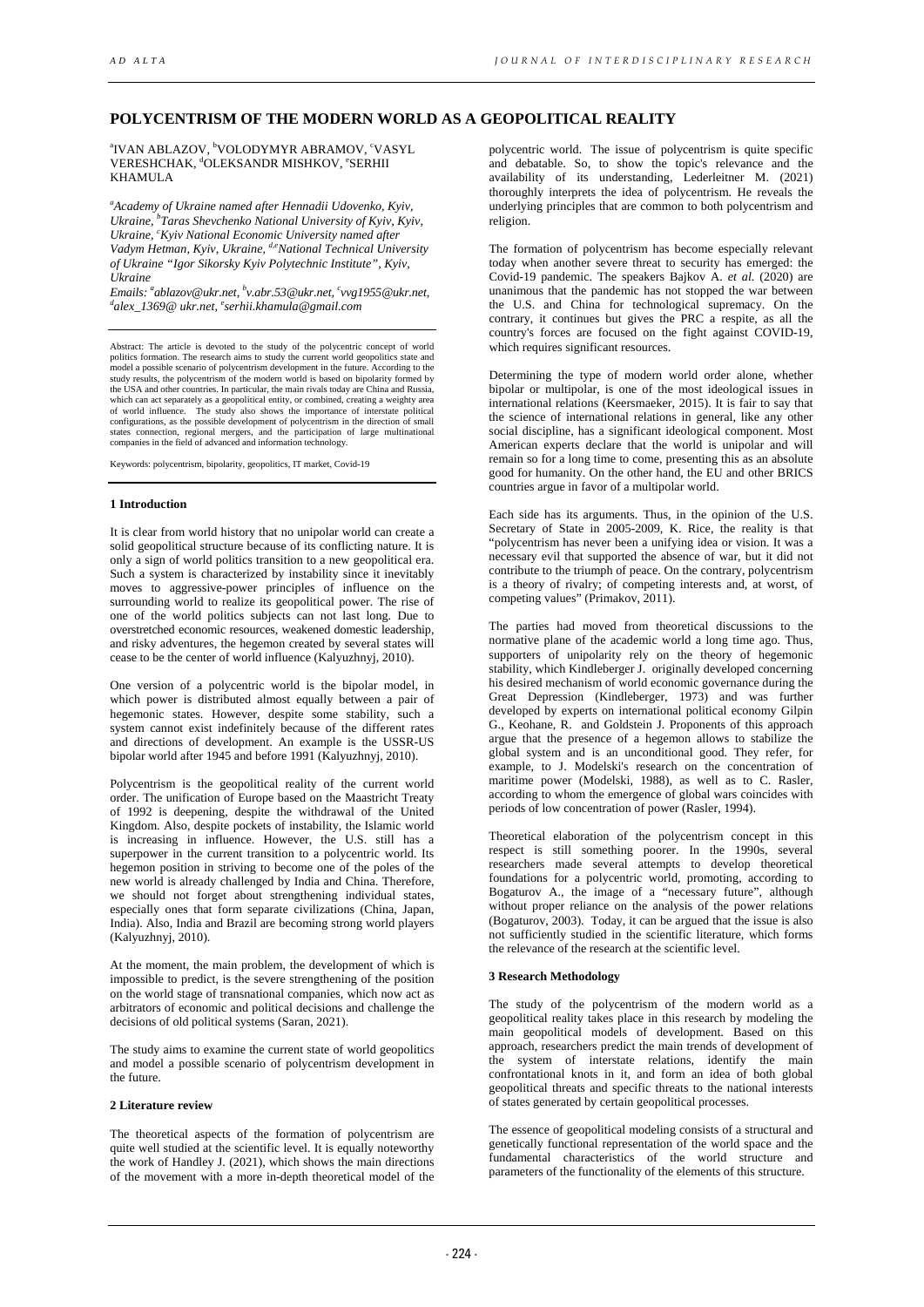# **POLYCENTRISM OF THE MODERN WORLD AS A GEOPOLITICAL REALITY**

<sup>a</sup>IVAN ABLAZOV, <sup>b</sup>VOLODYMYR ABRAMOV, <sup>c</sup>VASYL VERESHCHAK, <sup>d</sup>OLEKSANDR MISHKOV, °SERHII KHAMULA

*a Academy of Ukraine named after Hennadii Udovenko, Kyiv, Ukraine, b Taras Shevchenko National University of Kyiv, Kyiv,*  Ukraine, <sup>c</sup>Kyiv National Economic University named after *Vadym Hetman, Kyiv, Ukraine, d,e National Technical University of Ukraine "Igor Sikorsky Kyiv Polytechnic Institute", Kyiv, Ukraine* 

*Emails: ablazov@ukr.net, b v.abr.53@ukr.net, c vvg1955@ukr.net, d alex\_1369@ ukr.net, e [serhii.khamula@gmail.com](mailto:serhii.khamula@gmail.com)*

Abstract: The article is devoted to the study of the polycentric concept of world politics formation. The research aims to study the current world geopolitics state and<br>model a possible scenario of polycentrism development in the future. According to the<br>study results, the polycentrism of the modern wor the USA and other countries. In particular, the main rivals today are China and Russia, which can act separately as a geopolitical entity, or combined, creating a weighty area of world influence. The study also shows the importance of interstate political<br>configurations, as the possible development of polycentrism in the direction of small<br>states connection, regional mergers, and the participati companies in the field of advanced and information technology.

Keywords: polycentrism, bipolarity, geopolitics, IT market, Covid-19

### **1 Introduction**

It is clear from world history that no unipolar world can create a solid geopolitical structure because of its conflicting nature. It is only a sign of world politics transition to a new geopolitical era. Such a system is characterized by instability since it inevitably moves to aggressive-power principles of influence on the surrounding world to realize its geopolitical power. The rise of one of the world politics subjects can not last long. Due to overstretched economic resources, weakened domestic leadership, and risky adventures, the hegemon created by several states will cease to be the center of world influence (Kalyuzhnyj, 2010).

One version of a polycentric world is the bipolar model, in which power is distributed almost equally between a pair of hegemonic states. However, despite some stability, such a system cannot exist indefinitely because of the different rates and directions of development. An example is the USSR-US bipolar world after 1945 and before 1991 (Kalyuzhnyj, 2010).

Polycentrism is the geopolitical reality of the current world order. The unification of Europe based on the Maastricht Treaty of 1992 is deepening, despite the withdrawal of the United Kingdom. Also, despite pockets of instability, the Islamic world is increasing in influence. However, the U.S. still has a superpower in the current transition to a polycentric world. Its hegemon position in striving to become one of the poles of the new world is already challenged by India and China. Therefore, we should not forget about strengthening individual states, especially ones that form separate civilizations (China, Japan, India). Also, India and Brazil are becoming strong world players (Kalyuzhnyj, 2010).

At the moment, the main problem, the development of which is impossible to predict, is the severe strengthening of the position on the world stage of transnational companies, which now act as arbitrators of economic and political decisions and challenge the decisions of old political systems (Saran, 2021).

The study aims to examine the current state of world geopolitics and model a possible scenario of polycentrism development in the future.

## **2 Literature review**

The theoretical aspects of the formation of polycentrism are quite well studied at the scientific level. It is equally noteworthy the work of Handley J. (2021), which shows the main directions of the movement with a more in-depth theoretical model of the

polycentric world. The issue of polycentrism is quite specific and debatable. So, to show the topic's relevance and the availability of its understanding, Lederleitner M. (2021) thoroughly interprets the idea of polycentrism. He reveals the underlying principles that are common to both polycentrism and religion.

The formation of polycentrism has become especially relevant today when another severe threat to security has emerged: the Covid-19 pandemic. The speakers Bajkov A. *et al.* (2020) are unanimous that the pandemic has not stopped the war between the U.S. and China for technological supremacy. On the contrary, it continues but gives the PRC a respite, as all the country's forces are focused on the fight against COVID-19, which requires significant resources.

Determining the type of modern world order alone, whether bipolar or multipolar, is one of the most ideological issues in international relations (Keersmaeker, 2015). It is fair to say that the science of international relations in general, like any other social discipline, has a significant ideological component. Most American experts declare that the world is unipolar and will remain so for a long time to come, presenting this as an absolute good for humanity. On the other hand, the EU and other BRICS countries argue in favor of a multipolar world.

Each side has its arguments. Thus, in the opinion of the U.S. Secretary of State in 2005-2009, K. Rice, the reality is that "polycentrism has never been a unifying idea or vision. It was a necessary evil that supported the absence of war, but it did not contribute to the triumph of peace. On the contrary, polycentrism is a theory of rivalry; of competing interests and, at worst, of competing values" (Primakov, 2011).

The parties had moved from theoretical discussions to the normative plane of the academic world a long time ago. Thus, supporters of unipolarity rely on the theory of hegemonic stability, which Kindleberger J. originally developed concerning his desired mechanism of world economic governance during the Great Depression (Kindleberger, 1973) and was further developed by experts on international political economy Gilpin G., Keohane, R. and Goldstein J. Proponents of this approach argue that the presence of a hegemon allows to stabilize the global system and is an unconditional good. They refer, for example, to J. Modelski's research on the concentration of maritime power (Modelski, 1988), as well as to C. Rasler, according to whom the emergence of global wars coincides with periods of low concentration of power (Rasler, 1994).

Theoretical elaboration of the polycentrism concept in this respect is still something poorer. In the 1990s, several researchers made several attempts to develop theoretical foundations for a polycentric world, promoting, according to Bogaturov A., the image of a "necessary future", although without proper reliance on the analysis of the power relations (Bogaturov, 2003). Today, it can be argued that the issue is also not sufficiently studied in the scientific literature, which forms the relevance of the research at the scientific level.

### **3 Research Methodology**

The study of the polycentrism of the modern world as a geopolitical reality takes place in this research by modeling the main geopolitical models of development. Based on this approach, researchers predict the main trends of development of the system of interstate relations, identify the main confrontational knots in it, and form an idea of both global geopolitical threats and specific threats to the national interests of states generated by certain geopolitical processes.

The essence of geopolitical modeling consists of a structural and genetically functional representation of the world space and the fundamental characteristics of the world structure and parameters of the functionality of the elements of this structure.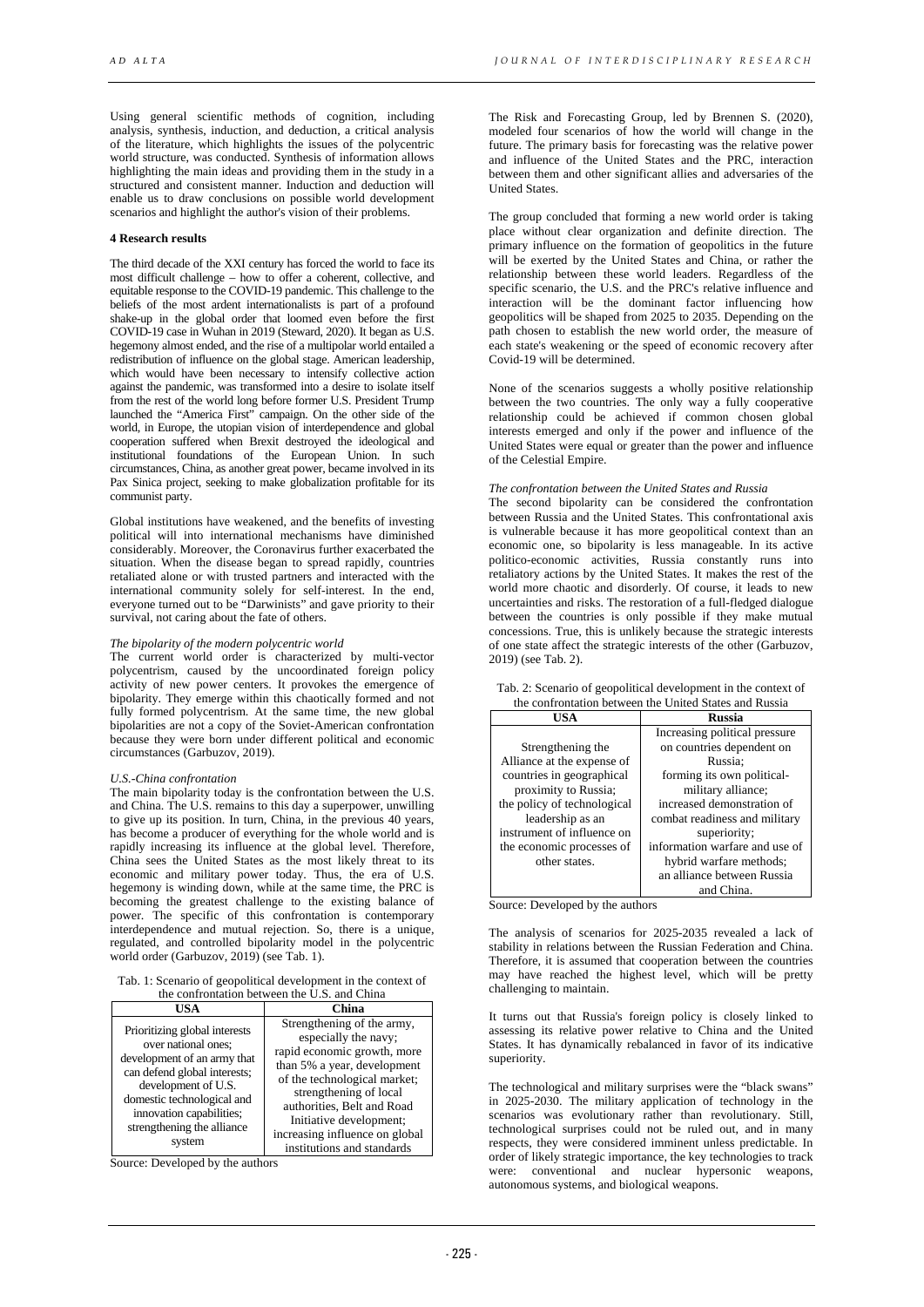Using general scientific methods of cognition, including analysis, synthesis, induction, and deduction, a critical analysis of the literature, which highlights the issues of the polycentric world structure, was conducted. Synthesis of information allows highlighting the main ideas and providing them in the study in a structured and consistent manner. Induction and deduction will enable us to draw conclusions on possible world development scenarios and highlight the author's vision of their problems.

### **4 Research results**

The third decade of the XXI century has forced the world to face its most difficult challenge – how to offer a coherent, collective, and equitable response to the COVID-19 pandemic. This challenge to the beliefs of the most ardent internationalists is part of a profound shake-up in the global order that loomed even before the first COVID-19 case in Wuhan in 2019 (Steward, 2020). It began as U.S. hegemony almost ended, and the rise of a multipolar world entailed a redistribution of influence on the global stage. American leadership, which would have been necessary to intensify collective action against the pandemic, was transformed into a desire to isolate itself from the rest of the world long before former U.S. President Trump launched the "America First" campaign. On the other side of the world, in Europe, the utopian vision of interdependence and global cooperation suffered when Brexit destroyed the ideological and institutional foundations of the European Union. In such circumstances, China, as another great power, became involved in its Pax Sinica project, seeking to make globalization profitable for its communist party.

Global institutions have weakened, and the benefits of investing political will into international mechanisms have diminished considerably. Moreover, the Coronavirus further exacerbated the situation. When the disease began to spread rapidly, countries retaliated alone or with trusted partners and interacted with the international community solely for self-interest. In the end, everyone turned out to be "Darwinists" and gave priority to their survival, not caring about the fate of others.

### *The bipolarity of the modern polycentric world*

The current world order is characterized by multi-vector polycentrism, caused by the uncoordinated foreign policy activity of new power centers. It provokes the emergence of bipolarity. They emerge within this chaotically formed and not fully formed polycentrism. At the same time, the new global bipolarities are not a copy of the Soviet-American confrontation because they were born under different political and economic circumstances (Garbuzov, 2019).

#### *U.S.-China confrontation*

The main bipolarity today is the confrontation between the U.S. and China. The U.S. remains to this day a superpower, unwilling to give up its position. In turn, China, in the previous 40 years, has become a producer of everything for the whole world and is rapidly increasing its influence at the global level. Therefore, China sees the United States as the most likely threat to its economic and military power today. Thus, the era of U.S. hegemony is winding down, while at the same time, the PRC is becoming the greatest challenge to the existing balance of power. The specific of this confrontation is contemporary interdependence and mutual rejection. So, there is a unique, regulated, and controlled bipolarity model in the polycentric world order (Garbuzov, 2019) (see Tab. 1).

| Tab. 1: Scenario of geopolitical development in the context of |
|----------------------------------------------------------------|
| the confrontation between the U.S. and China                   |

| uit coil<br>omanon between the O.S. and China                                                                                                                                                                                                |                                                                                                                                                                                                                                                                                                     |  |
|----------------------------------------------------------------------------------------------------------------------------------------------------------------------------------------------------------------------------------------------|-----------------------------------------------------------------------------------------------------------------------------------------------------------------------------------------------------------------------------------------------------------------------------------------------------|--|
| USA                                                                                                                                                                                                                                          | China                                                                                                                                                                                                                                                                                               |  |
| Prioritizing global interests<br>over national ones;<br>development of an army that<br>can defend global interests;<br>development of U.S.<br>domestic technological and<br>innovation capabilities;<br>strengthening the alliance<br>system | Strengthening of the army,<br>especially the navy;<br>rapid economic growth, more<br>than 5% a year, development<br>of the technological market;<br>strengthening of local<br>authorities, Belt and Road<br>Initiative development;<br>increasing influence on global<br>institutions and standards |  |

Source: Developed by the authors

The Risk and Forecasting Group, led by Brennen S. (2020), modeled four scenarios of how the world will change in the future. The primary basis for forecasting was the relative power and influence of the United States and the PRC, interaction between them and other significant allies and adversaries of the United States.

The group concluded that forming a new world order is taking place without clear organization and definite direction. The primary influence on the formation of geopolitics in the future will be exerted by the United States and China, or rather the relationship between these world leaders. Regardless of the specific scenario, the U.S. and the PRC's relative influence and interaction will be the dominant factor influencing how geopolitics will be shaped from 2025 to 2035. Depending on the path chosen to establish the new world order, the measure of each state's weakening or the speed of economic recovery after Covid-19 will be determined.

None of the scenarios suggests a wholly positive relationship between the two countries. The only way a fully cooperative relationship could be achieved if common chosen global interests emerged and only if the power and influence of the United States were equal or greater than the power and influence of the Celestial Empire.

### *The confrontation between the United States and Russia*

The second bipolarity can be considered the confrontation between Russia and the United States. This confrontational axis is vulnerable because it has more geopolitical context than an economic one, so bipolarity is less manageable. In its active politico-economic activities, Russia constantly runs into retaliatory actions by the United States. It makes the rest of the world more chaotic and disorderly. Of course, it leads to new uncertainties and risks. The restoration of a full-fledged dialogue between the countries is only possible if they make mutual concessions. True, this is unlikely because the strategic interests of one state affect the strategic interests of the other (Garbuzov, 2019) (see Tab. 2).

| Tab. 2: Scenario of geopolitical development in the context of |  |
|----------------------------------------------------------------|--|
| the confrontation between the United States and Russia         |  |

| USA                         | Russia                         |
|-----------------------------|--------------------------------|
|                             | Increasing political pressure  |
| Strengthening the           | on countries dependent on      |
| Alliance at the expense of  | Russia:                        |
| countries in geographical   | forming its own political-     |
| proximity to Russia;        | military alliance;             |
| the policy of technological | increased demonstration of     |
| leadership as an            | combat readiness and military  |
| instrument of influence on  | superiority;                   |
| the economic processes of   | information warfare and use of |
| other states.               | hybrid warfare methods;        |
|                             | an alliance between Russia     |
|                             | and China.                     |

Source: Developed by the authors

The analysis of scenarios for 2025-2035 revealed a lack of stability in relations between the Russian Federation and China. Therefore, it is assumed that cooperation between the countries may have reached the highest level, which will be pretty challenging to maintain.

It turns out that Russia's foreign policy is closely linked to assessing its relative power relative to China and the United States. It has dynamically rebalanced in favor of its indicative superiority.

The technological and military surprises were the "black swans" in 2025-2030. The military application of technology in the scenarios was evolutionary rather than revolutionary. Still, technological surprises could not be ruled out, and in many respects, they were considered imminent unless predictable. In order of likely strategic importance, the key technologies to track were: conventional and nuclear hypersonic weapons, autonomous systems, and biological weapons.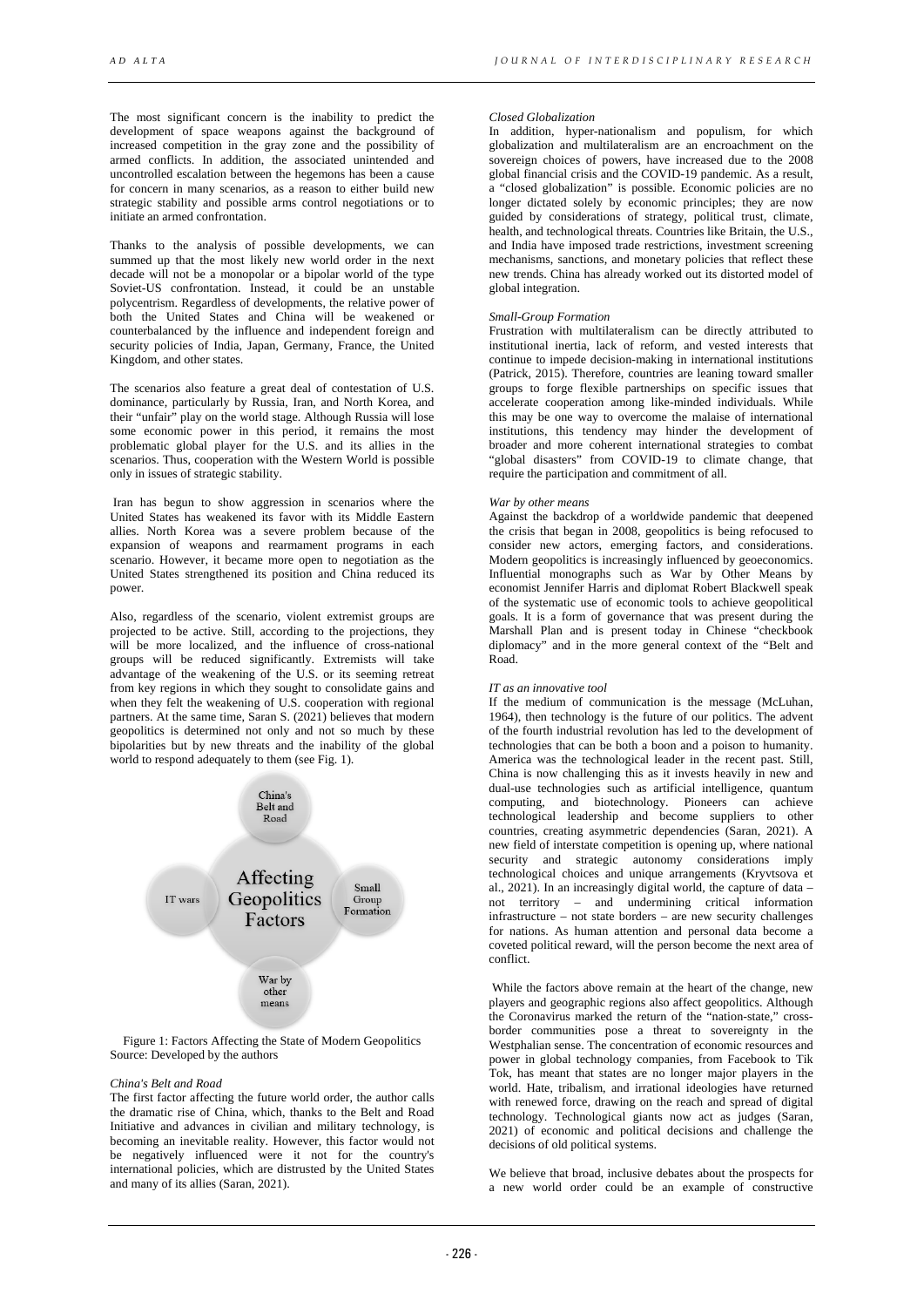The most significant concern is the inability to predict the development of space weapons against the background of increased competition in the gray zone and the possibility of armed conflicts. In addition, the associated unintended and uncontrolled escalation between the hegemons has been a cause for concern in many scenarios, as a reason to either build new strategic stability and possible arms control negotiations or to initiate an armed confrontation.

Thanks to the analysis of possible developments, we can summed up that the most likely new world order in the next decade will not be a monopolar or a bipolar world of the type Soviet-US confrontation. Instead, it could be an unstable polycentrism. Regardless of developments, the relative power of both the United States and China will be weakened or counterbalanced by the influence and independent foreign and security policies of India, Japan, Germany, France, the United Kingdom, and other states.

The scenarios also feature a great deal of contestation of U.S. dominance, particularly by Russia, Iran, and North Korea, and their "unfair" play on the world stage. Although Russia will lose some economic power in this period, it remains the most problematic global player for the U.S. and its allies in the scenarios. Thus, cooperation with the Western World is possible only in issues of strategic stability.

Iran has begun to show aggression in scenarios where the United States has weakened its favor with its Middle Eastern allies. North Korea was a severe problem because of the expansion of weapons and rearmament programs in each scenario. However, it became more open to negotiation as the United States strengthened its position and China reduced its power.

Also, regardless of the scenario, violent extremist groups are projected to be active. Still, according to the projections, they will be more localized, and the influence of cross-national groups will be reduced significantly. Extremists will take advantage of the weakening of the U.S. or its seeming retreat from key regions in which they sought to consolidate gains and when they felt the weakening of U.S. cooperation with regional partners. At the same time, Saran S. (2021) believes that modern geopolitics is determined not only and not so much by these bipolarities but by new threats and the inability of the global world to respond adequately to them (see Fig. 1).



Figure 1: Factors Affecting the State of Modern Geopolitics Source: Developed by the authors

### *China's Belt and Road*

The first factor affecting the future world order, the author calls the dramatic rise of China, which, thanks to the Belt and Road Initiative and advances in civilian and military technology, is becoming an inevitable reality. However, this factor would not be negatively influenced were it not for the country's international policies, which are distrusted by the United States and many of its allies (Saran, 2021).

### *Closed Globalization*

In addition, hyper-nationalism and populism, for which globalization and multilateralism are an encroachment on the sovereign choices of powers, have increased due to the 2008 global financial crisis and the COVID-19 pandemic. As a result, a "closed globalization" is possible. Economic policies are no longer dictated solely by economic principles; they are now guided by considerations of strategy, political trust, climate, health, and technological threats. Countries like Britain, the U.S., and India have imposed trade restrictions, investment screening mechanisms, sanctions, and monetary policies that reflect these new trends. China has already worked out its distorted model of global integration.

# *Small-Group Formation*

Frustration with multilateralism can be directly attributed to institutional inertia, lack of reform, and vested interests that continue to impede decision-making in international institutions (Patrick, 2015). Therefore, countries are leaning toward smaller groups to forge flexible partnerships on specific issues that accelerate cooperation among like-minded individuals. While this may be one way to overcome the malaise of international institutions, this tendency may hinder the development of broader and more coherent international strategies to combat "global disasters" from COVID-19 to climate change, that require the participation and commitment of all.

# *War by other means*

Against the backdrop of a worldwide pandemic that deepened the crisis that began in 2008, geopolitics is being refocused to consider new actors, emerging factors, and considerations. Modern geopolitics is increasingly influenced by geoeconomics. Influential monographs such as War by Other Means by economist Jennifer Harris and diplomat Robert Blackwell speak of the systematic use of economic tools to achieve geopolitical goals. It is a form of governance that was present during the Marshall Plan and is present today in Chinese "checkbook diplomacy" and in the more general context of the "Belt and Road.

### *IT as an innovative tool*

If the medium of communication is the message (McLuhan, 1964), then technology is the future of our politics. The advent of the fourth industrial revolution has led to the development of technologies that can be both a boon and a poison to humanity. America was the technological leader in the recent past. Still, China is now challenging this as it invests heavily in new and dual-use technologies such as artificial intelligence, quantum computing, and biotechnology. Pioneers can achieve technological leadership and become suppliers to other countries, creating asymmetric dependencies (Saran, 2021). A new field of interstate competition is opening up, where national security and strategic autonomy considerations imply technological choices and unique arrangements (Kryvtsova et al., 2021). In an increasingly digital world, the capture of data – not territory – and undermining critical information infrastructure – not state borders – are new security challenges for nations. As human attention and personal data become a coveted political reward, will the person become the next area of conflict.

While the factors above remain at the heart of the change, new players and geographic regions also affect geopolitics. Although the Coronavirus marked the return of the "nation-state," crossborder communities pose a threat to sovereignty in the Westphalian sense. The concentration of economic resources and power in global technology companies, from Facebook to Tik Tok, has meant that states are no longer major players in the world. Hate, tribalism, and irrational ideologies have returned with renewed force, drawing on the reach and spread of digital technology. Technological giants now act as judges (Saran, 2021) of economic and political decisions and challenge the decisions of old political systems.

We believe that broad, inclusive debates about the prospects for a new world order could be an example of constructive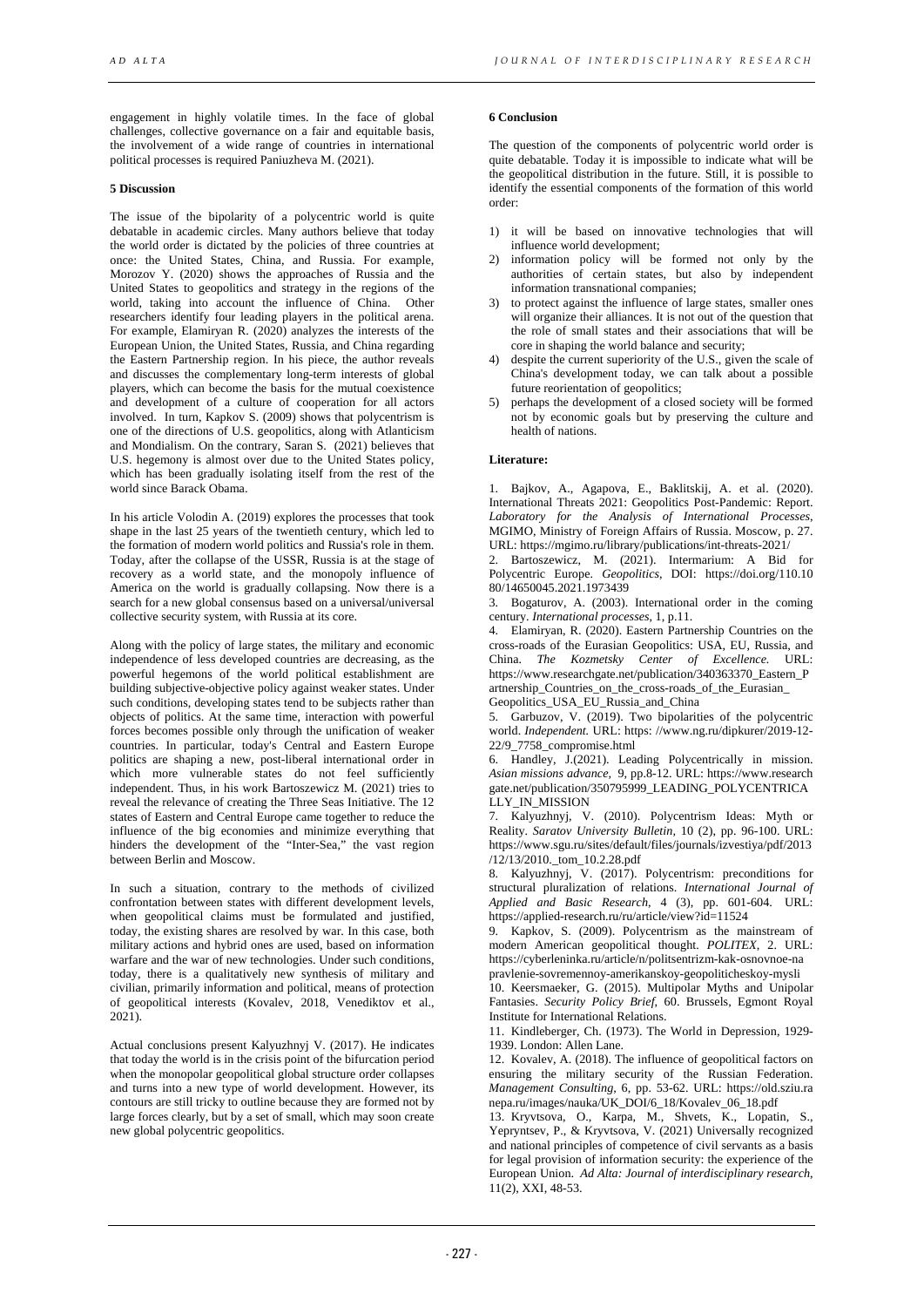engagement in highly volatile times. In the face of global challenges, collective governance on a fair and equitable basis, the involvement of a wide range of countries in international political processes is required Paniuzheva M. (2021).

# **5 Discussion**

The issue of the bipolarity of a polycentric world is quite debatable in academic circles. Many authors believe that today the world order is dictated by the policies of three countries at once: the United States, China, and Russia. For example, Morozov Y. (2020) shows the approaches of Russia and the United States to geopolitics and strategy in the regions of the world, taking into account the influence of China. Other researchers identify four leading players in the political arena. For example, Elamiryan R. (2020) analyzes the interests of the European Union, the United States, Russia, and China regarding the Eastern Partnership region. In his piece, the author reveals and discusses the complementary long-term interests of global players, which can become the basis for the mutual coexistence and development of a culture of cooperation for all actors involved. In turn, Kapkov S. (2009) shows that polycentrism is one of the directions of U.S. geopolitics, along with Atlanticism and Mondialism. On the contrary, Saran S. (2021) believes that U.S. hegemony is almost over due to the United States policy, which has been gradually isolating itself from the rest of the world since Barack Obama.

In his article Volodin A. (2019) explores the processes that took shape in the last 25 years of the twentieth century, which led to the formation of modern world politics and Russia's role in them. Today, after the collapse of the USSR, Russia is at the stage of recovery as a world state, and the monopoly influence of America on the world is gradually collapsing. Now there is a search for a new global consensus based on a universal/universal collective security system, with Russia at its core.

Along with the policy of large states, the military and economic independence of less developed countries are decreasing, as the powerful hegemons of the world political establishment are building subjective-objective policy against weaker states. Under such conditions, developing states tend to be subjects rather than objects of politics. At the same time, interaction with powerful forces becomes possible only through the unification of weaker countries. In particular, today's Central and Eastern Europe politics are shaping a new, post-liberal international order in which more vulnerable states do not feel sufficiently independent. Thus, in his work Bartoszewicz M. (2021) tries to reveal the relevance of creating the Three Seas Initiative. The 12 states of Eastern and Central Europe came together to reduce the influence of the big economies and minimize everything that hinders the development of the "Inter-Sea," the vast region between Berlin and Moscow.

In such a situation, contrary to the methods of civilized confrontation between states with different development levels, when geopolitical claims must be formulated and justified. today, the existing shares are resolved by war. In this case, both military actions and hybrid ones are used, based on information warfare and the war of new technologies. Under such conditions, today, there is a qualitatively new synthesis of military and civilian, primarily information and political, means of protection of geopolitical interests (Kovalev, 2018, Venediktov et al.,  $2021$ ).

Actual conclusions present Kalyuzhnyj V. (2017). He indicates that today the world is in the crisis point of the bifurcation period when the monopolar geopolitical global structure order collapses and turns into a new type of world development. However, its contours are still tricky to outline because they are formed not by large forces clearly, but by a set of small, which may soon create new global polycentric geopolitics.

# **6 Conclusion**

The question of the components of polycentric world order is quite debatable. Today it is impossible to indicate what will be the geopolitical distribution in the future. Still, it is possible to identify the essential components of the formation of this world order:

- 1) it will be based on innovative technologies that will influence world development;
- 2) information policy will be formed not only by the authorities of certain states, but also by independent information transnational companies;
- 3) to protect against the influence of large states, smaller ones will organize their alliances. It is not out of the question that the role of small states and their associations that will be core in shaping the world balance and security;
- 4) despite the current superiority of the U.S., given the scale of China's development today, we can talk about a possible future reorientation of geopolitics;
- 5) perhaps the development of a closed society will be formed not by economic goals but by preserving the culture and health of nations.

# **Literature:**

1. Bajkov, A., Agapova, E., Baklitskij, A. et al. (2020). International Threats 2021: Geopolitics Post-Pandemic: Report. *Laboratory for the Analysis of International Processes*, MGIMO, Ministry of Foreign Affairs of Russia. Moscow, p. 27. URL[: https://mgimo.ru/library/publications/int-threats-2021/](https://mgimo.ru/library/publications/int-threats-2021/) 

2. Bartoszewicz, M. (2021). Intermarium: A Bid for Polycentric Europe. *Geopolitics*, DOI: https://doi.org/110.10 80/14650045.2021.1973439

3. Bogaturov, A. (2003). International order in the coming century. *International processes*, 1, p.11.

4. Elamiryan, R. (2020). Eastern Partnership Countries on the cross-roads of the Eurasian Geopolitics: USA, EU, Russia, and China. *The Kozmetsky Center of Excellence.* URL: https://www.researchgate.net/publication/340363370\_Eastern\_P artnership\_Countries\_on\_the\_cross-roads\_of\_the\_Eurasian\_ Geopolitics USA EU Russia and China

5. Garbuzov, V. (2019). Two bipolarities of the polycentric world. *Independent.* URL: https: //www.ng.ru/dipkurer/2019-12-

22/9\_7758\_compromise.html 6. Handley, J.(2021). Leading Polycentrically in mission. *Asian missions advance,* 9, pp.8-12. URL: https://www.research gate.net/publication/350795999\_LEADING\_POLYCENTRICA LLY IN MISSION

7. Kalyuzhnyj, V. (2010). Polycentrism Ideas: Myth or Reality. *Saratov University Bulletin,* 10 (2), pp. 96-100. URL: [https://www.sgu.ru/sites/default/files/journals/izvestiya/pdf/2013](https://www.sgu.ru/sites/default/files/journals/izvestiya/pdf/2013/12/13/2010._tom_10.2.28.pdf) /12/13/2010.<sub>tom</sub> 10.2.28.pdf

8. Kalyuzhnyj, V. (2017). Polycentrism: preconditions for structural pluralization of relations. *International Journal of Applied and Basic Research*, 4 (3), pp. 601-604. URL: <https://applied-research.ru/ru/article/view?id=11524>

9. Kapkov, S. (2009). Polycentrism as the mainstream of modern American geopolitical thought. *POLITEX*, 2. URL: https://cyberleninka.ru/article/n/politsentrizm-kak-osnovnoe-na pravlenie-sovremennoy-amerikanskoy-geopoliticheskoy-mysli

10. Keersmaeker, G. (2015). Multipolar Myths and Unipolar Fantasies. *Security Policy Brief*, 60. Brussels, Egmont Royal Institute for International Relations.

11. Kindleberger, Ch. (1973). The World in Depression, 1929- 1939. London: Allen Lane.

12. Kovalev, A. (2018). The influence of geopolitical factors on ensuring the military security of the Russian Federation. *Management Consulting*, 6, pp. 53-62. URL: https://old.sziu.ra nepa.ru/images/nauka/UK\_DOI/6\_18/Kovalev\_06\_18.pdf

13. Kryvtsova, O., Karpa, M., Shvets, K., Lopatin, S., Yepryntsev, P., & Kryvtsova, V. (2021) Universally recognized and national principles of competence of civil servants as a basis for legal provision of information security: the experience of the European Union. *Ad Alta: Journal of interdisciplinary research*, 11(2), XXI, 48-53.